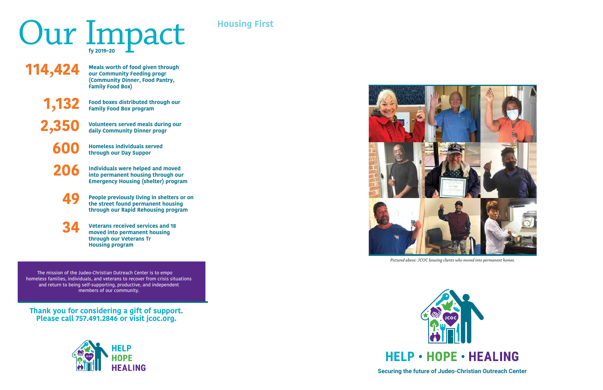

*Pictured above: JCOC housing clients who moved into permanent homes.*



**Securing the future of Judeo-Christian Outreach Center**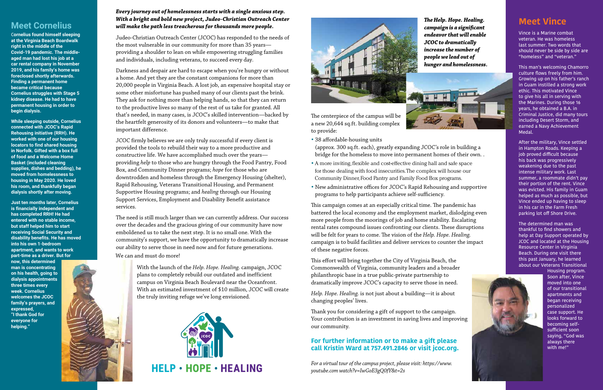## **Meet Cornelius**

C**ornelius found himself sleeping at the Virginia Beach Boardwalk right in the middle of the Covid-19 pandemic. The middleaged man had lost his job at a car rental company in November 2019, and his family's home was foreclosed shortly afterwards. Finding a permanent home became critical because Cornelius struggles with Stage 5 kidney disease. He had to have permanent housing in order to begin dialysis.** 

**While sleeping outside, Cornelius connected with JCOC's Rapid Rehousing initiative (RRH). He worked with one of our housing locators to find shared housing in Norfolk. Gifted with a box full of food and a Welcome Home Basket (included cleaning supplies, dishes and bedding), he moved from homelessness to housing in May 2020. He loved his room, and thankfully began dialysis shortly after moving.** 

**Just ten months later, Cornelius is financially independent and has completed RRH! He had entered with no stable income, but staff helped him to start receiving Social Security and disability benefits. He has moved into his own 1-bedroom apartment, and wants to work part-time as a driver. But for** 

**now, this determined man is concentrating on his health, going to dialysis appointments three times every week. Cornelius welcomes the JCOC family's prayers, and expressed, "I thank God for everyone for helping."**

#### *Every journey out of homelessness starts with a single anxious step. With a bright and bold new project, Judeo-Christian Outreach Center will make the path less treacherous for thousands more people.*

Judeo-Christian Outreach Center (JCOC) has responded to the needs of the most vulnerable in our community for more than 35 years providing a shoulder to lean on while empowering struggling families and individuals, including veterans, to succeed every day.

Darkness and despair are hard to escape when you're hungry or without a home. And yet they are the constant companions for more than 20,000 people in Virginia Beach. A lost job, an expensive hospital stay or some other misfortune has pushed many of our clients past the brink. They ask for nothing more than helping hands, so that they can return to the productive lives so many of the rest of us take for granted. All that's needed, in many cases, is JCOC's skilled intervention—backed by the heartfelt generosity of its donors and volunteers—to make that important difference.

JCOC firmly believes we are only truly successful if every client is provided the tools to rebuild their way to a more productive and constructive life. We have accomplished much over the years providing *help* to those who are hungry through the Food Pantry, Food Box, and Community Dinner programs; *hope* for those who are downtrodden and homeless through the Emergency Housing (shelter), Rapid Rehousing, Veterans Transitional Housing, and Permanent Supportive Housing programs; and *healing* through our Housing Support Services, Employment and Disability Benefit assistance services.

The need is still much larger than we can currently address. Our success over the decades and the gracious giving of our community have now emboldened us to take the next step. It is no small one. With the community's support, we have the opportunity to dramatically increase our ability to serve those in need now and for future generations. We can and must do more!

> With the launch of the *Help. Hope. Healing.* campaign, JCOC plans to completely rebuild our outdated and inefficient campus on Virginia Beach Boulevard near the Oceanfront. With an estimated investment of \$10 million, JCOC will create the truly inviting refuge we've long envisioned.

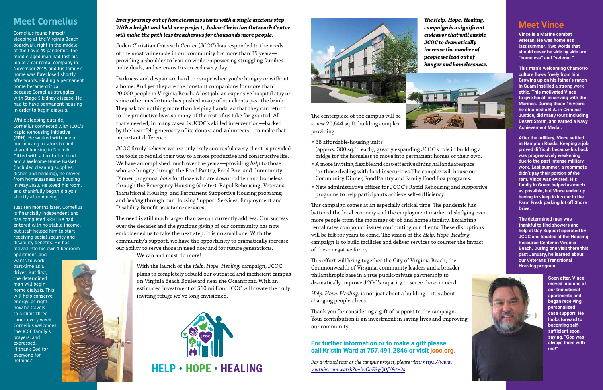

The centerpiece of the campus will be a new 20,644 sq.ft. building complex providing:

**•** 38 affordable-housing units (approx. 300 sq.ft. each), greatly expanding JCOC's role in building a bridge for the homeless to move into permanent homes of their own.

- **•** A more inviting, flexible and cost-effective dining hall and safe space for those dealing with food insecurities. The complex will house our Community Dinner, Food Pantry and Family Food Box programs.
- **•** New administrative offices for JCOC's Rapid Rehousing and supportive programs to help participants achieve self-sufficiency.

This campaign comes at an especially critical time. The pandemic has battered the local economy and the employment market, dislodging even more people from the moorings of job and home stability. Escalating rental rates compound issues confronting our clients. These disruptions will be felt for years to come. The vision of the *Help. Hope. Healing.* campaign is to build facilities and deliver services to counter the impact of these negative forces.

This effort will bring together the City of Virginia Beach, the Commonwealth of Virginia, community leaders and a broader philanthropic base in a true public-private partnership to dramatically improve JCOC's capacity to serve those in need.

*Help. Hope. Healing.* is not just about a building—it is about changing people's lives.

Thank you for considering a gift of support to the campaign. Your contribution is an investment in saving lives and improving our community.

### **For further information or to make a gift please [call Kristin Ward at 757.491.2846 or visit jcoc.org.](https://www.youtube.com/watch?v=IwGoE3gQ0fY&t=2s)**

*For a virtual tour of the campus project, please visit: https://www. youtube.com watch?v=IwGoE3gQ0fY&t=2s* 

*The Help. Hope. Healing. campaign is a significant endeavor that will enable JCOC to dramatically increase the number of people we lead out of hunger and homelessness.*



## **Meet Vince**

**Vince is a Marine combat veteran. He was homeless last summer. Two words that should never be side by side are "homeless" and "veteran."** 

**This man's welcoming Chamorro culture flows freely from him. Growing up on his father's ranch in Guam instilled a strong work ethic. This motivated Vince to give his all in serving with the Marines. During those 16 years, he obtained a B.A. in Criminal Justice, did many tours including Desert Storm, and earned a Navy Achievement Medal.** 

**After the military, Vince settled in Hampton Roads. Keeping a job proved difficult because his back was progressively weakening due to the past intense military work. Last summer, a roommate didn't pay their portion of the rent. Vince was evicted. His family in Guam helped as much as possible, but Vince ended up having to sleep in his car in the Farm Fresh parking lot off Shore Drive.** 

**The determined man was thankful to find showers and help at Day Support operated by JCOC and located at the Housing Resource Center in Virginia Beach. During one visit there this past January, he learned about our Veterans Transitional Housing program.**



**Soon after, Vince moved into one of our transitional apartments and began receiving personalized case support. He looks forward to becoming selfsufficient soon, saying, "God was always there with me!"**